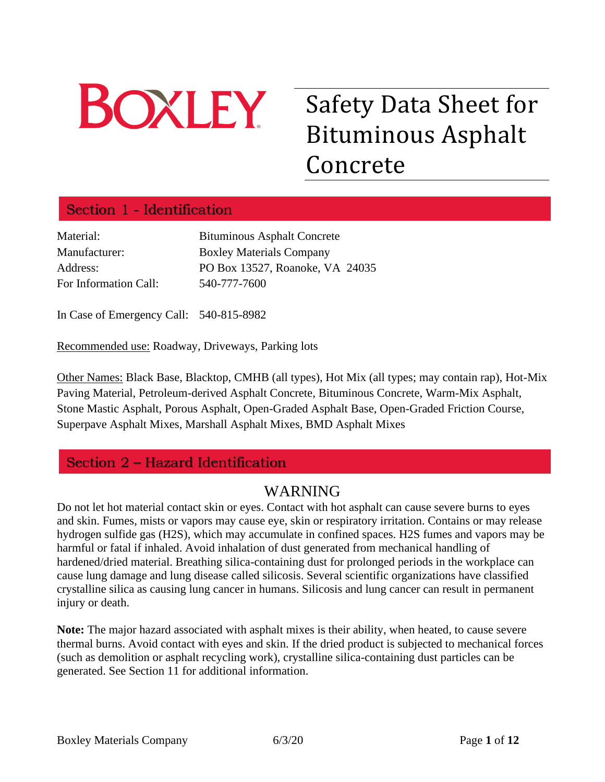

# Safety Data Sheet for Bituminous Asphalt Concrete

# Section 1 - Identification

| Material:             | <b>Bituminous Asphalt Concrete</b> |
|-----------------------|------------------------------------|
| Manufacturer:         | <b>Boxley Materials Company</b>    |
| Address:              | PO Box 13527, Roanoke, VA 24035    |
| For Information Call: | 540-777-7600                       |

In Case of Emergency Call: 540-815-8982

Recommended use: Roadway, Driveways, Parking lots

Other Names: Black Base, Blacktop, CMHB (all types), Hot Mix (all types; may contain rap), Hot-Mix Paving Material, Petroleum-derived Asphalt Concrete, Bituminous Concrete, Warm-Mix Asphalt, Stone Mastic Asphalt, Porous Asphalt, Open-Graded Asphalt Base, Open-Graded Friction Course, Superpave Asphalt Mixes, Marshall Asphalt Mixes, BMD Asphalt Mixes

# Section 2 - Hazard Identification

# WARNING

Do not let hot material contact skin or eyes. Contact with hot asphalt can cause severe burns to eyes and skin. Fumes, mists or vapors may cause eye, skin or respiratory irritation. Contains or may release hydrogen sulfide gas (H2S), which may accumulate in confined spaces. H2S fumes and vapors may be harmful or fatal if inhaled. Avoid inhalation of dust generated from mechanical handling of hardened/dried material. Breathing silica-containing dust for prolonged periods in the workplace can cause lung damage and lung disease called silicosis. Several scientific organizations have classified crystalline silica as causing lung cancer in humans. Silicosis and lung cancer can result in permanent injury or death.

**Note:** The major hazard associated with asphalt mixes is their ability, when heated, to cause severe thermal burns. Avoid contact with eyes and skin. If the dried product is subjected to mechanical forces (such as demolition or asphalt recycling work), crystalline silica-containing dust particles can be generated. See Section 11 for additional information.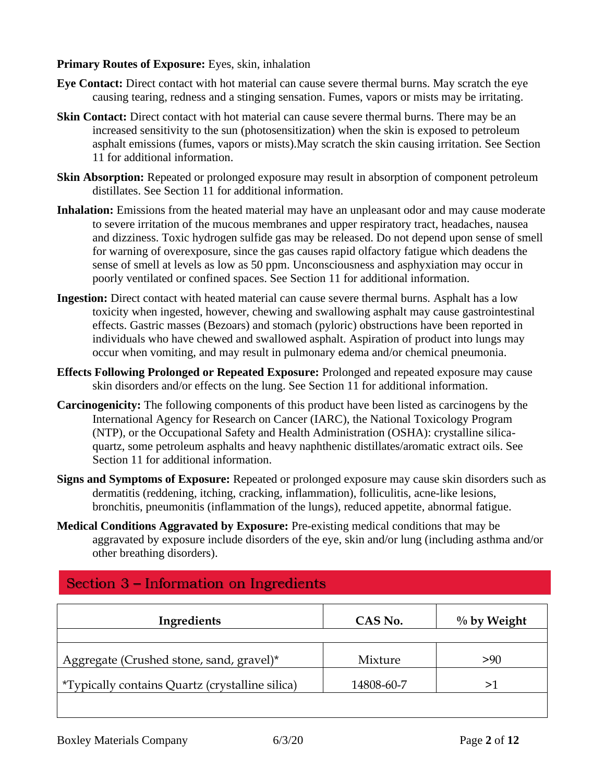## **Primary Routes of Exposure:** Eyes, skin, inhalation

- **Eye Contact:** Direct contact with hot material can cause severe thermal burns. May scratch the eye causing tearing, redness and a stinging sensation. Fumes, vapors or mists may be irritating.
- **Skin Contact:** Direct contact with hot material can cause severe thermal burns. There may be an increased sensitivity to the sun (photosensitization) when the skin is exposed to petroleum asphalt emissions (fumes, vapors or mists).May scratch the skin causing irritation. See Section 11 for additional information.
- **Skin Absorption:** Repeated or prolonged exposure may result in absorption of component petroleum distillates. See Section 11 for additional information.
- **Inhalation:** Emissions from the heated material may have an unpleasant odor and may cause moderate to severe irritation of the mucous membranes and upper respiratory tract, headaches, nausea and dizziness. Toxic hydrogen sulfide gas may be released. Do not depend upon sense of smell for warning of overexposure, since the gas causes rapid olfactory fatigue which deadens the sense of smell at levels as low as 50 ppm. Unconsciousness and asphyxiation may occur in poorly ventilated or confined spaces. See Section 11 for additional information.
- **Ingestion:** Direct contact with heated material can cause severe thermal burns. Asphalt has a low toxicity when ingested, however, chewing and swallowing asphalt may cause gastrointestinal effects. Gastric masses (Bezoars) and stomach (pyloric) obstructions have been reported in individuals who have chewed and swallowed asphalt. Aspiration of product into lungs may occur when vomiting, and may result in pulmonary edema and/or chemical pneumonia.
- **Effects Following Prolonged or Repeated Exposure:** Prolonged and repeated exposure may cause skin disorders and/or effects on the lung. See Section 11 for additional information.
- **Carcinogenicity:** The following components of this product have been listed as carcinogens by the International Agency for Research on Cancer (IARC), the National Toxicology Program (NTP), or the Occupational Safety and Health Administration (OSHA): crystalline silicaquartz, some petroleum asphalts and heavy naphthenic distillates/aromatic extract oils. See Section 11 for additional information.
- **Signs and Symptoms of Exposure:** Repeated or prolonged exposure may cause skin disorders such as dermatitis (reddening, itching, cracking, inflammation), folliculitis, acne-like lesions, bronchitis, pneumonitis (inflammation of the lungs), reduced appetite, abnormal fatigue.
- **Medical Conditions Aggravated by Exposure:** Pre-existing medical conditions that may be aggravated by exposure include disorders of the eye, skin and/or lung (including asthma and/or other breathing disorders).

| Ingredients                                             | CAS No.    | $\%$ by Weight |
|---------------------------------------------------------|------------|----------------|
| Aggregate (Crushed stone, sand, gravel)*                | Mixture    | >90            |
| <i>*</i> Typically contains Quartz (crystalline silica) | 14808-60-7 | ➢              |
|                                                         |            |                |

# Section 3 – Information on Ingredients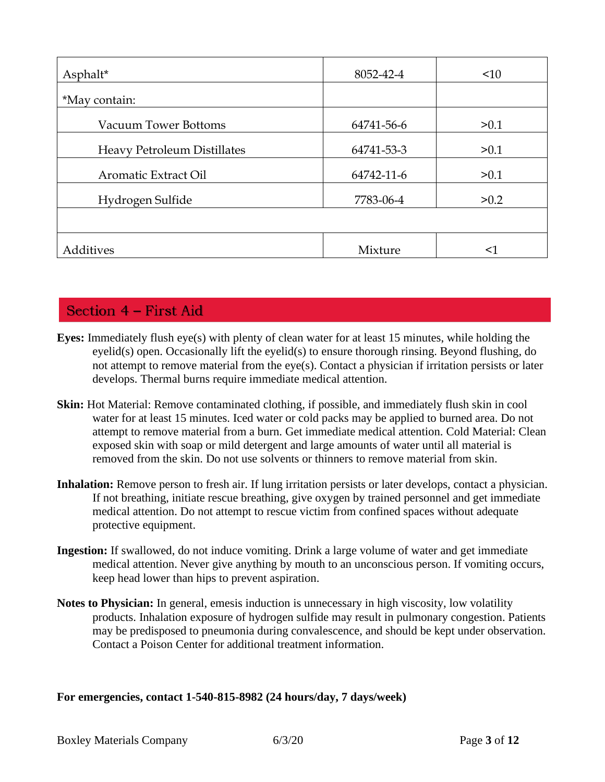| Asphalt*                           | 8052-42-4  | $\leq 10$ |
|------------------------------------|------------|-----------|
| *May contain:                      |            |           |
| <b>Vacuum Tower Bottoms</b>        | 64741-56-6 | > 0.1     |
| <b>Heavy Petroleum Distillates</b> | 64741-53-3 | >0.1      |
| Aromatic Extract Oil               | 64742-11-6 | >0.1      |
| Hydrogen Sulfide                   | 7783-06-4  | >0.2      |
|                                    |            |           |
| Additives                          | Mixture    | <1        |

# Section 4 - First Aid

- **Eyes:** Immediately flush eye(s) with plenty of clean water for at least 15 minutes, while holding the eyelid(s) open. Occasionally lift the eyelid(s) to ensure thorough rinsing. Beyond flushing, do not attempt to remove material from the eye(s). Contact a physician if irritation persists or later develops. Thermal burns require immediate medical attention.
- **Skin:** Hot Material: Remove contaminated clothing, if possible, and immediately flush skin in cool water for at least 15 minutes. Iced water or cold packs may be applied to burned area. Do not attempt to remove material from a burn. Get immediate medical attention. Cold Material: Clean exposed skin with soap or mild detergent and large amounts of water until all material is removed from the skin. Do not use solvents or thinners to remove material from skin.
- **Inhalation:** Remove person to fresh air. If lung irritation persists or later develops, contact a physician. If not breathing, initiate rescue breathing, give oxygen by trained personnel and get immediate medical attention. Do not attempt to rescue victim from confined spaces without adequate protective equipment.
- **Ingestion:** If swallowed, do not induce vomiting. Drink a large volume of water and get immediate medical attention. Never give anything by mouth to an unconscious person. If vomiting occurs, keep head lower than hips to prevent aspiration.
- **Notes to Physician:** In general, emesis induction is unnecessary in high viscosity, low volatility products. Inhalation exposure of hydrogen sulfide may result in pulmonary congestion. Patients may be predisposed to pneumonia during convalescence, and should be kept under observation. Contact a Poison Center for additional treatment information.

**For emergencies, contact 1-540-815-8982 (24 hours/day, 7 days/week)**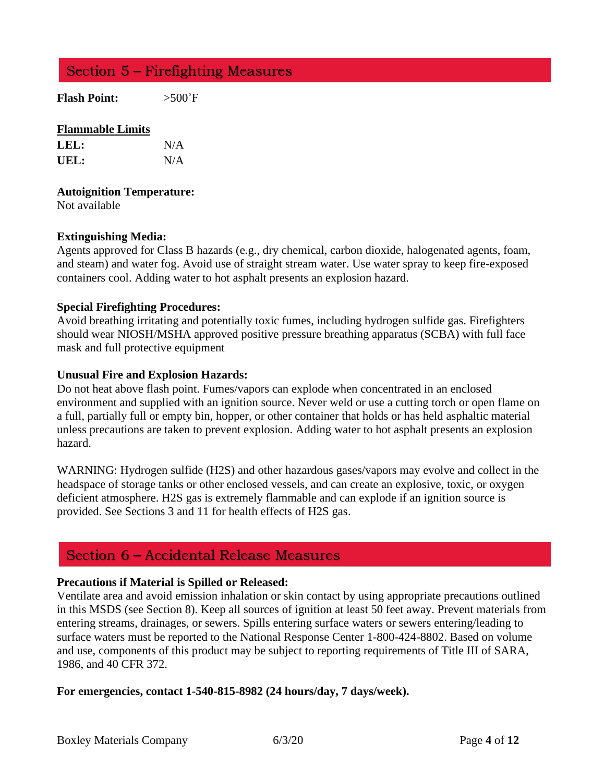# Section 5 – Firefighting Measures

**Flash Point:** >500˚F

## **Flammable Limits**

| LEL: | N/A |
|------|-----|
| UEL: | N/A |

#### **Autoignition Temperature:**

Not available

## **Extinguishing Media:**

Agents approved for Class B hazards (e.g., dry chemical, carbon dioxide, halogenated agents, foam, and steam) and water fog. Avoid use of straight stream water. Use water spray to keep fire-exposed containers cool. Adding water to hot asphalt presents an explosion hazard.

## **Special Firefighting Procedures:**

Avoid breathing irritating and potentially toxic fumes, including hydrogen sulfide gas. Firefighters should wear NIOSH/MSHA approved positive pressure breathing apparatus (SCBA) with full face mask and full protective equipment

#### **Unusual Fire and Explosion Hazards:**

Do not heat above flash point. Fumes/vapors can explode when concentrated in an enclosed environment and supplied with an ignition source. Never weld or use a cutting torch or open flame on a full, partially full or empty bin, hopper, or other container that holds or has held asphaltic material unless precautions are taken to prevent explosion. Adding water to hot asphalt presents an explosion hazard.

WARNING: Hydrogen sulfide (H2S) and other hazardous gases/vapors may evolve and collect in the headspace of storage tanks or other enclosed vessels, and can create an explosive, toxic, or oxygen deficient atmosphere. H2S gas is extremely flammable and can explode if an ignition source is provided. See Sections 3 and 11 for health effects of H2S gas.

# Section 6 - Accidental Release Measures

## **Precautions if Material is Spilled or Released:**

Ventilate area and avoid emission inhalation or skin contact by using appropriate precautions outlined in this MSDS (see Section 8). Keep all sources of ignition at least 50 feet away. Prevent materials from entering streams, drainages, or sewers. Spills entering surface waters or sewers entering/leading to surface waters must be reported to the National Response Center 1-800-424-8802. Based on volume and use, components of this product may be subject to reporting requirements of Title III of SARA, 1986, and 40 CFR 372.

## **For emergencies, contact 1-540-815-8982 (24 hours/day, 7 days/week).**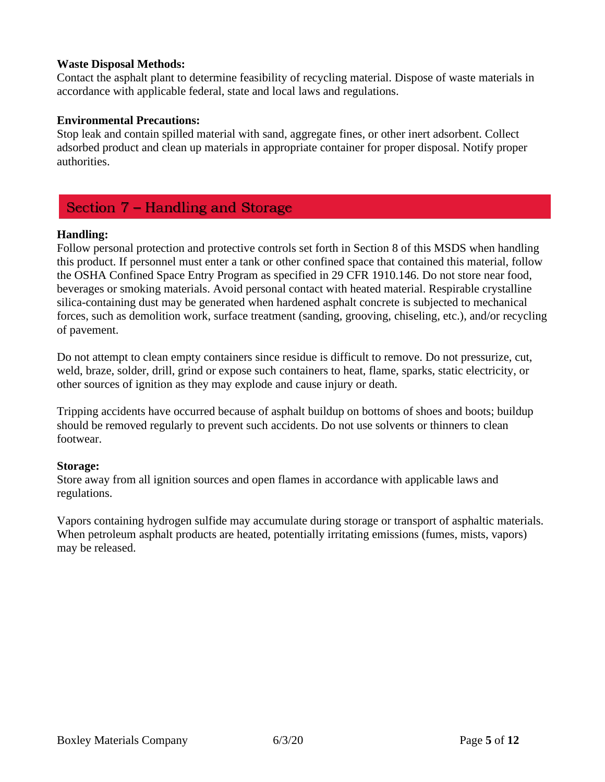## **Waste Disposal Methods:**

Contact the asphalt plant to determine feasibility of recycling material. Dispose of waste materials in accordance with applicable federal, state and local laws and regulations.

## **Environmental Precautions:**

Stop leak and contain spilled material with sand, aggregate fines, or other inert adsorbent. Collect adsorbed product and clean up materials in appropriate container for proper disposal. Notify proper authorities.

# Section 7 – Handling and Storage

## **Handling:**

Follow personal protection and protective controls set forth in Section 8 of this MSDS when handling this product. If personnel must enter a tank or other confined space that contained this material, follow the OSHA Confined Space Entry Program as specified in 29 CFR 1910.146. Do not store near food, beverages or smoking materials. Avoid personal contact with heated material. Respirable crystalline silica-containing dust may be generated when hardened asphalt concrete is subjected to mechanical forces, such as demolition work, surface treatment (sanding, grooving, chiseling, etc.), and/or recycling of pavement.

Do not attempt to clean empty containers since residue is difficult to remove. Do not pressurize, cut, weld, braze, solder, drill, grind or expose such containers to heat, flame, sparks, static electricity, or other sources of ignition as they may explode and cause injury or death.

Tripping accidents have occurred because of asphalt buildup on bottoms of shoes and boots; buildup should be removed regularly to prevent such accidents. Do not use solvents or thinners to clean footwear.

## **Storage:**

Store away from all ignition sources and open flames in accordance with applicable laws and regulations.

Vapors containing hydrogen sulfide may accumulate during storage or transport of asphaltic materials. When petroleum asphalt products are heated, potentially irritating emissions (fumes, mists, vapors) may be released.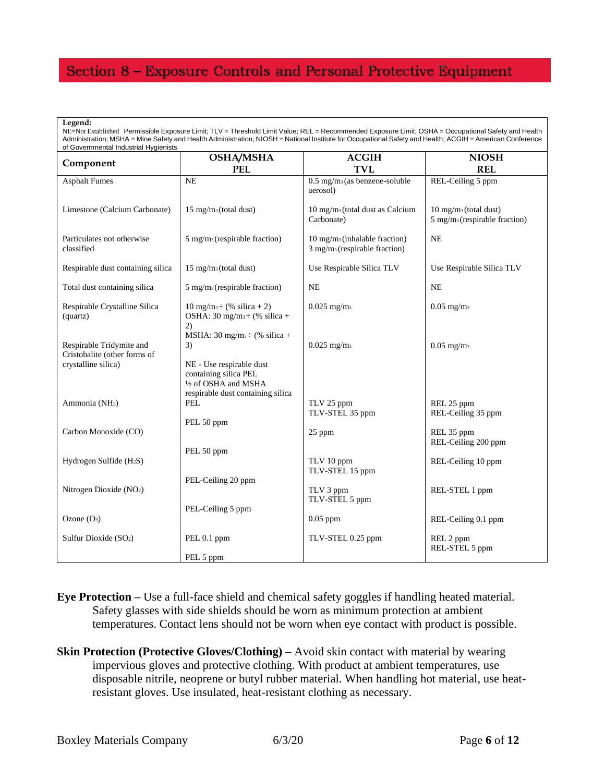# Section 8 - Exposure Controls and Personal Protective Equipment

| Legend:<br>NE=Not Established Permissible Exposure Limit; TLV = Threshold Limit Value; REL = Recommended Exposure Limit; OSHA = Occupational Safety and Health<br>Administration; MSHA = Mine Safety and Health Administration; NIOSH = National Institute for Occupational Safety and Health; ACGIH = American Conference<br>of Governmental Industrial Hygienists |                                                                                                                                        |                                                                                         |                                                                                 |  |
|---------------------------------------------------------------------------------------------------------------------------------------------------------------------------------------------------------------------------------------------------------------------------------------------------------------------------------------------------------------------|----------------------------------------------------------------------------------------------------------------------------------------|-----------------------------------------------------------------------------------------|---------------------------------------------------------------------------------|--|
| Component                                                                                                                                                                                                                                                                                                                                                           | <b>OSHA/MSHA</b><br><b>PEL</b>                                                                                                         | <b>ACGIH</b><br><b>TVL</b>                                                              | <b>NIOSH</b><br><b>REL</b>                                                      |  |
| <b>Asphalt Fumes</b>                                                                                                                                                                                                                                                                                                                                                | <b>NE</b>                                                                                                                              | $0.5$ mg/m <sub>3</sub> (as benzene-soluble<br>aerosol)                                 | REL-Ceiling 5 ppm                                                               |  |
| Limestone (Calcium Carbonate)                                                                                                                                                                                                                                                                                                                                       | 15 mg/m <sub>3</sub> (total dust)                                                                                                      | $10 \text{ mg/m}_3$ (total dust as Calcium<br>Carbonate)                                | $10 \text{ mg/m}_3$ (total dust)<br>$5$ mg/m <sub>3</sub> (respirable fraction) |  |
| Particulates not otherwise<br>classified                                                                                                                                                                                                                                                                                                                            | $5 \text{ mg/m}_3$ (respirable fraction)                                                                                               | $10 \text{ mg/m}_3$ (inhalable fraction)<br>$3$ mg/m <sub>3</sub> (respirable fraction) | <b>NE</b>                                                                       |  |
| Respirable dust containing silica                                                                                                                                                                                                                                                                                                                                   | 15 mg/m <sub>3</sub> (total dust)                                                                                                      | Use Respirable Silica TLV                                                               | Use Respirable Silica TLV                                                       |  |
| Total dust containing silica                                                                                                                                                                                                                                                                                                                                        | $5 \text{ mg/m}_3$ (respirable fraction)                                                                                               | <b>NE</b>                                                                               | <b>NE</b>                                                                       |  |
| Respirable Crystalline Silica<br>(quartz)                                                                                                                                                                                                                                                                                                                           | $10 \text{ mg/m}$ <sub>3</sub> $\div$ (% silica + 2)<br>OSHA: 30 mg/m <sub>3</sub> $\div$ (% silica +<br>2)                            | $0.025$ mg/m <sub>3</sub>                                                               | $0.05$ mg/m <sub>3</sub>                                                        |  |
| Respirable Tridymite and<br>Cristobalite (other forms of<br>crystalline silica)                                                                                                                                                                                                                                                                                     | MSHA: $30 \text{ mg/m}_3 \div (96 \text{ silica} +$<br>3)<br>NE - Use respirable dust<br>containing silica PEL<br>1/2 of OSHA and MSHA | $0.025$ mg/m <sub>3</sub>                                                               | $0.05$ mg/m <sub>3</sub>                                                        |  |
| Ammonia (NH <sub>3</sub> )                                                                                                                                                                                                                                                                                                                                          | respirable dust containing silica<br>PEL                                                                                               | TLV 25 ppm<br>TLV-STEL 35 ppm                                                           | REL 25 ppm<br>REL-Ceiling 35 ppm                                                |  |
| Carbon Monoxide (CO)                                                                                                                                                                                                                                                                                                                                                | PEL 50 ppm                                                                                                                             | 25 ppm                                                                                  | REL 35 ppm<br>REL-Ceiling 200 ppm                                               |  |
| Hydrogen Sulfide (H <sub>2</sub> S)                                                                                                                                                                                                                                                                                                                                 | PEL 50 ppm                                                                                                                             | TLV 10 ppm<br>TLV-STEL 15 ppm                                                           | REL-Ceiling 10 ppm                                                              |  |
| Nitrogen Dioxide (NO <sub>2</sub> )                                                                                                                                                                                                                                                                                                                                 | PEL-Ceiling 20 ppm                                                                                                                     | TLV 3 ppm<br>TLV-STEL 5 ppm                                                             | REL-STEL 1 ppm                                                                  |  |
| Ozone $(O_3)$                                                                                                                                                                                                                                                                                                                                                       | PEL-Ceiling 5 ppm                                                                                                                      | $0.05$ ppm                                                                              | REL-Ceiling 0.1 ppm                                                             |  |
| Sulfur Dioxide (SO <sub>2</sub> )                                                                                                                                                                                                                                                                                                                                   | PEL 0.1 ppm<br>PEL 5 ppm                                                                                                               | TLV-STEL 0.25 ppm                                                                       | REL 2 ppm<br>REL-STEL 5 ppm                                                     |  |

- **Eye Protection –** Use a full-face shield and chemical safety goggles if handling heated material. Safety glasses with side shields should be worn as minimum protection at ambient temperatures. Contact lens should not be worn when eye contact with product is possible.
- **Skin Protection (Protective Gloves/Clothing)** Avoid skin contact with material by wearing impervious gloves and protective clothing. With product at ambient temperatures, use disposable nitrile, neoprene or butyl rubber material. When handling hot material, use heatresistant gloves. Use insulated, heat-resistant clothing as necessary.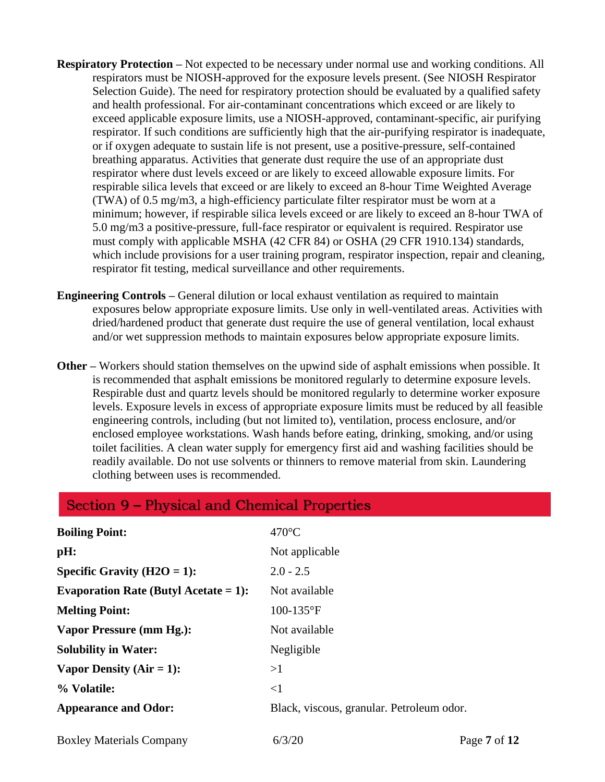- **Respiratory Protection** Not expected to be necessary under normal use and working conditions. All respirators must be NIOSH-approved for the exposure levels present. (See NIOSH Respirator Selection Guide). The need for respiratory protection should be evaluated by a qualified safety and health professional. For air-contaminant concentrations which exceed or are likely to exceed applicable exposure limits, use a NIOSH-approved, contaminant-specific, air purifying respirator. If such conditions are sufficiently high that the air-purifying respirator is inadequate, or if oxygen adequate to sustain life is not present, use a positive-pressure, self-contained breathing apparatus. Activities that generate dust require the use of an appropriate dust respirator where dust levels exceed or are likely to exceed allowable exposure limits. For respirable silica levels that exceed or are likely to exceed an 8-hour Time Weighted Average (TWA) of 0.5 mg/m3, a high-efficiency particulate filter respirator must be worn at a minimum; however, if respirable silica levels exceed or are likely to exceed an 8-hour TWA of 5.0 mg/m3 a positive-pressure, full-face respirator or equivalent is required. Respirator use must comply with applicable MSHA (42 CFR 84) or OSHA (29 CFR 1910.134) standards, which include provisions for a user training program, respirator inspection, repair and cleaning, respirator fit testing, medical surveillance and other requirements.
- **Engineering Controls –** General dilution or local exhaust ventilation as required to maintain exposures below appropriate exposure limits. Use only in well-ventilated areas. Activities with dried/hardened product that generate dust require the use of general ventilation, local exhaust and/or wet suppression methods to maintain exposures below appropriate exposure limits.
- **Other –** Workers should station themselves on the upwind side of asphalt emissions when possible. It is recommended that asphalt emissions be monitored regularly to determine exposure levels. Respirable dust and quartz levels should be monitored regularly to determine worker exposure levels. Exposure levels in excess of appropriate exposure limits must be reduced by all feasible engineering controls, including (but not limited to), ventilation, process enclosure, and/or enclosed employee workstations. Wash hands before eating, drinking, smoking, and/or using toilet facilities. A clean water supply for emergency first aid and washing facilities should be readily available. Do not use solvents or thinners to remove material from skin. Laundering clothing between uses is recommended.

| Section 9 – Physical and Chemical Properties |                                           |              |  |  |
|----------------------------------------------|-------------------------------------------|--------------|--|--|
| <b>Boiling Point:</b>                        | $470^{\circ}$ C                           |              |  |  |
| pH:                                          | Not applicable                            |              |  |  |
| Specific Gravity ( $H2O = 1$ ):              | $2.0 - 2.5$                               |              |  |  |
| Evaporation Rate (Butyl Acetate = $1$ ):     | Not available                             |              |  |  |
| <b>Melting Point:</b>                        | $100-135$ °F                              |              |  |  |
| Vapor Pressure (mm Hg.):                     | Not available                             |              |  |  |
| <b>Solubility in Water:</b>                  | Negligible                                |              |  |  |
| Vapor Density $(Air = 1)$ :                  | >1                                        |              |  |  |
| % Volatile:                                  | $\leq$ 1                                  |              |  |  |
| <b>Appearance and Odor:</b>                  | Black, viscous, granular. Petroleum odor. |              |  |  |
| <b>Boxley Materials Company</b>              | 6/3/20                                    | Page 7 of 12 |  |  |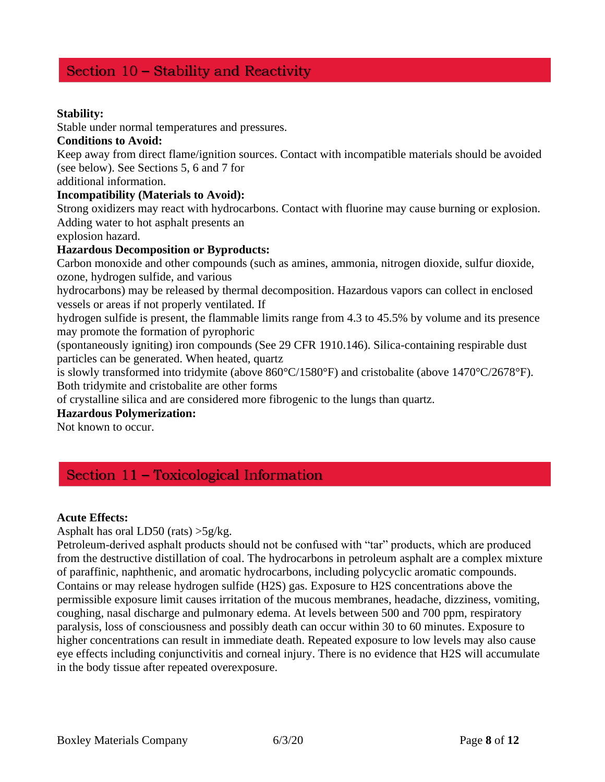# Section 10 - Stability and Reactivity

## **Stability:**

Stable under normal temperatures and pressures.

## **Conditions to Avoid:**

Keep away from direct flame/ignition sources. Contact with incompatible materials should be avoided (see below). See Sections 5, 6 and 7 for

additional information.

## **Incompatibility (Materials to Avoid):**

Strong oxidizers may react with hydrocarbons. Contact with fluorine may cause burning or explosion. Adding water to hot asphalt presents an

explosion hazard.

# **Hazardous Decomposition or Byproducts:**

Carbon monoxide and other compounds (such as amines, ammonia, nitrogen dioxide, sulfur dioxide, ozone, hydrogen sulfide, and various

hydrocarbons) may be released by thermal decomposition. Hazardous vapors can collect in enclosed vessels or areas if not properly ventilated. If

hydrogen sulfide is present, the flammable limits range from 4.3 to 45.5% by volume and its presence may promote the formation of pyrophoric

(spontaneously igniting) iron compounds (See 29 CFR 1910.146). Silica-containing respirable dust particles can be generated. When heated, quartz

is slowly transformed into tridymite (above 860°C/1580°F) and cristobalite (above 1470°C/2678°F). Both tridymite and cristobalite are other forms

of crystalline silica and are considered more fibrogenic to the lungs than quartz.

## **Hazardous Polymerization:**

Not known to occur.

# Section 11 - Toxicological Information

## **Acute Effects:**

Asphalt has oral LD50 (rats) >5g/kg.

Petroleum-derived asphalt products should not be confused with "tar" products, which are produced from the destructive distillation of coal. The hydrocarbons in petroleum asphalt are a complex mixture of paraffinic, naphthenic, and aromatic hydrocarbons, including polycyclic aromatic compounds. Contains or may release hydrogen sulfide (H2S) gas. Exposure to H2S concentrations above the permissible exposure limit causes irritation of the mucous membranes, headache, dizziness, vomiting, coughing, nasal discharge and pulmonary edema. At levels between 500 and 700 ppm, respiratory paralysis, loss of consciousness and possibly death can occur within 30 to 60 minutes. Exposure to higher concentrations can result in immediate death. Repeated exposure to low levels may also cause eye effects including conjunctivitis and corneal injury. There is no evidence that H2S will accumulate in the body tissue after repeated overexposure.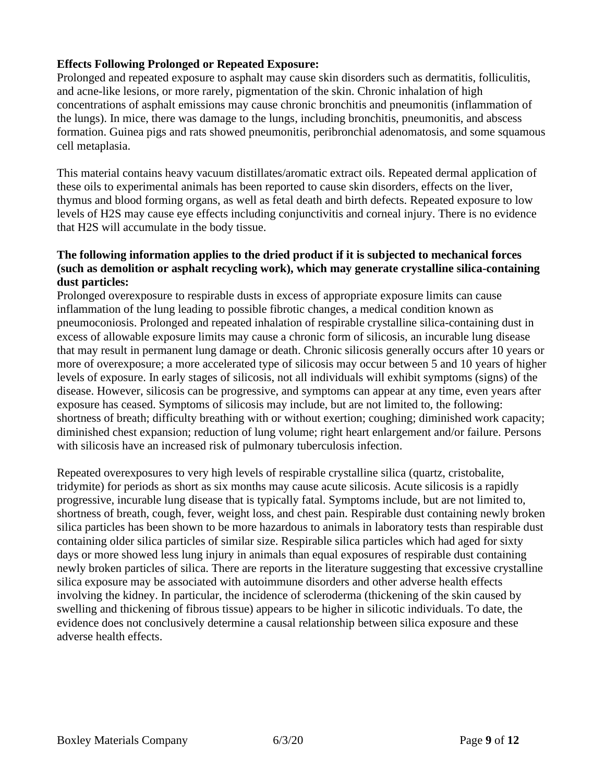## **Effects Following Prolonged or Repeated Exposure:**

Prolonged and repeated exposure to asphalt may cause skin disorders such as dermatitis, folliculitis, and acne-like lesions, or more rarely, pigmentation of the skin. Chronic inhalation of high concentrations of asphalt emissions may cause chronic bronchitis and pneumonitis (inflammation of the lungs). In mice, there was damage to the lungs, including bronchitis, pneumonitis, and abscess formation. Guinea pigs and rats showed pneumonitis, peribronchial adenomatosis, and some squamous cell metaplasia.

This material contains heavy vacuum distillates/aromatic extract oils. Repeated dermal application of these oils to experimental animals has been reported to cause skin disorders, effects on the liver, thymus and blood forming organs, as well as fetal death and birth defects. Repeated exposure to low levels of H2S may cause eye effects including conjunctivitis and corneal injury. There is no evidence that H2S will accumulate in the body tissue.

# **The following information applies to the dried product if it is subjected to mechanical forces (such as demolition or asphalt recycling work), which may generate crystalline silica-containing dust particles:**

Prolonged overexposure to respirable dusts in excess of appropriate exposure limits can cause inflammation of the lung leading to possible fibrotic changes, a medical condition known as pneumoconiosis. Prolonged and repeated inhalation of respirable crystalline silica-containing dust in excess of allowable exposure limits may cause a chronic form of silicosis, an incurable lung disease that may result in permanent lung damage or death. Chronic silicosis generally occurs after 10 years or more of overexposure; a more accelerated type of silicosis may occur between 5 and 10 years of higher levels of exposure. In early stages of silicosis, not all individuals will exhibit symptoms (signs) of the disease. However, silicosis can be progressive, and symptoms can appear at any time, even years after exposure has ceased. Symptoms of silicosis may include, but are not limited to, the following: shortness of breath; difficulty breathing with or without exertion; coughing; diminished work capacity; diminished chest expansion; reduction of lung volume; right heart enlargement and/or failure. Persons with silicosis have an increased risk of pulmonary tuberculosis infection.

Repeated overexposures to very high levels of respirable crystalline silica (quartz, cristobalite, tridymite) for periods as short as six months may cause acute silicosis. Acute silicosis is a rapidly progressive, incurable lung disease that is typically fatal. Symptoms include, but are not limited to, shortness of breath, cough, fever, weight loss, and chest pain. Respirable dust containing newly broken silica particles has been shown to be more hazardous to animals in laboratory tests than respirable dust containing older silica particles of similar size. Respirable silica particles which had aged for sixty days or more showed less lung injury in animals than equal exposures of respirable dust containing newly broken particles of silica. There are reports in the literature suggesting that excessive crystalline silica exposure may be associated with autoimmune disorders and other adverse health effects involving the kidney. In particular, the incidence of scleroderma (thickening of the skin caused by swelling and thickening of fibrous tissue) appears to be higher in silicotic individuals. To date, the evidence does not conclusively determine a causal relationship between silica exposure and these adverse health effects.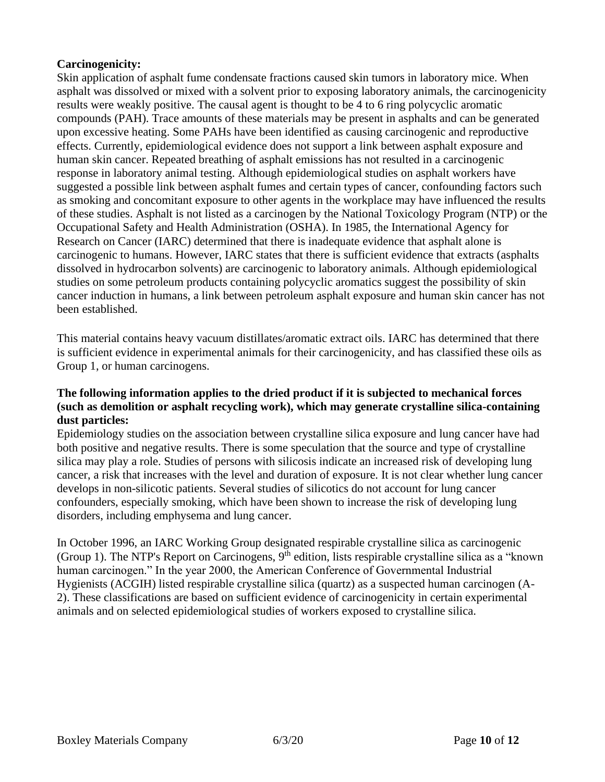# **Carcinogenicity:**

Skin application of asphalt fume condensate fractions caused skin tumors in laboratory mice. When asphalt was dissolved or mixed with a solvent prior to exposing laboratory animals, the carcinogenicity results were weakly positive. The causal agent is thought to be 4 to 6 ring polycyclic aromatic compounds (PAH). Trace amounts of these materials may be present in asphalts and can be generated upon excessive heating. Some PAHs have been identified as causing carcinogenic and reproductive effects. Currently, epidemiological evidence does not support a link between asphalt exposure and human skin cancer. Repeated breathing of asphalt emissions has not resulted in a carcinogenic response in laboratory animal testing. Although epidemiological studies on asphalt workers have suggested a possible link between asphalt fumes and certain types of cancer, confounding factors such as smoking and concomitant exposure to other agents in the workplace may have influenced the results of these studies. Asphalt is not listed as a carcinogen by the National Toxicology Program (NTP) or the Occupational Safety and Health Administration (OSHA). In 1985, the International Agency for Research on Cancer (IARC) determined that there is inadequate evidence that asphalt alone is carcinogenic to humans. However, IARC states that there is sufficient evidence that extracts (asphalts dissolved in hydrocarbon solvents) are carcinogenic to laboratory animals. Although epidemiological studies on some petroleum products containing polycyclic aromatics suggest the possibility of skin cancer induction in humans, a link between petroleum asphalt exposure and human skin cancer has not been established.

This material contains heavy vacuum distillates/aromatic extract oils. IARC has determined that there is sufficient evidence in experimental animals for their carcinogenicity, and has classified these oils as Group 1, or human carcinogens.

## **The following information applies to the dried product if it is subjected to mechanical forces (such as demolition or asphalt recycling work), which may generate crystalline silica-containing dust particles:**

Epidemiology studies on the association between crystalline silica exposure and lung cancer have had both positive and negative results. There is some speculation that the source and type of crystalline silica may play a role. Studies of persons with silicosis indicate an increased risk of developing lung cancer, a risk that increases with the level and duration of exposure. It is not clear whether lung cancer develops in non-silicotic patients. Several studies of silicotics do not account for lung cancer confounders, especially smoking, which have been shown to increase the risk of developing lung disorders, including emphysema and lung cancer.

In October 1996, an IARC Working Group designated respirable crystalline silica as carcinogenic (Group 1). The NTP's Report on Carcinogens,  $9<sup>th</sup>$  edition, lists respirable crystalline silica as a "known" human carcinogen." In the year 2000, the American Conference of Governmental Industrial Hygienists (ACGIH) listed respirable crystalline silica (quartz) as a suspected human carcinogen (A-2). These classifications are based on sufficient evidence of carcinogenicity in certain experimental animals and on selected epidemiological studies of workers exposed to crystalline silica.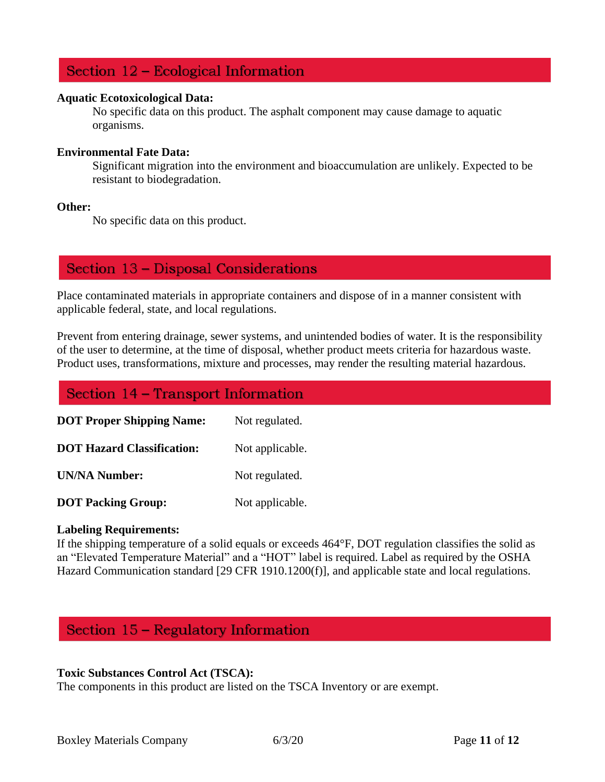# Section 12 - Ecological Information

#### **Aquatic Ecotoxicological Data:**

No specific data on this product. The asphalt component may cause damage to aquatic organisms.

#### **Environmental Fate Data:**

Significant migration into the environment and bioaccumulation are unlikely. Expected to be resistant to biodegradation.

#### **Other:**

No specific data on this product.

# Section 13 - Disposal Considerations

Place contaminated materials in appropriate containers and dispose of in a manner consistent with applicable federal, state, and local regulations.

Prevent from entering drainage, sewer systems, and unintended bodies of water. It is the responsibility of the user to determine, at the time of disposal, whether product meets criteria for hazardous waste. Product uses, transformations, mixture and processes, may render the resulting material hazardous.

# Section 14 - Transport Information **DOT Proper Shipping Name:** Not regulated. **DOT Hazard Classification:** Not applicable. **UN/NA Number:** Not regulated. **DOT Packing Group:** Not applicable.

## **Labeling Requirements:**

If the shipping temperature of a solid equals or exceeds 464°F, DOT regulation classifies the solid as an "Elevated Temperature Material" and a "HOT" label is required. Label as required by the OSHA Hazard Communication standard [29 CFR 1910.1200(f)], and applicable state and local regulations.

# Section 15 - Regulatory Information

## **Toxic Substances Control Act (TSCA):**

The components in this product are listed on the TSCA Inventory or are exempt.